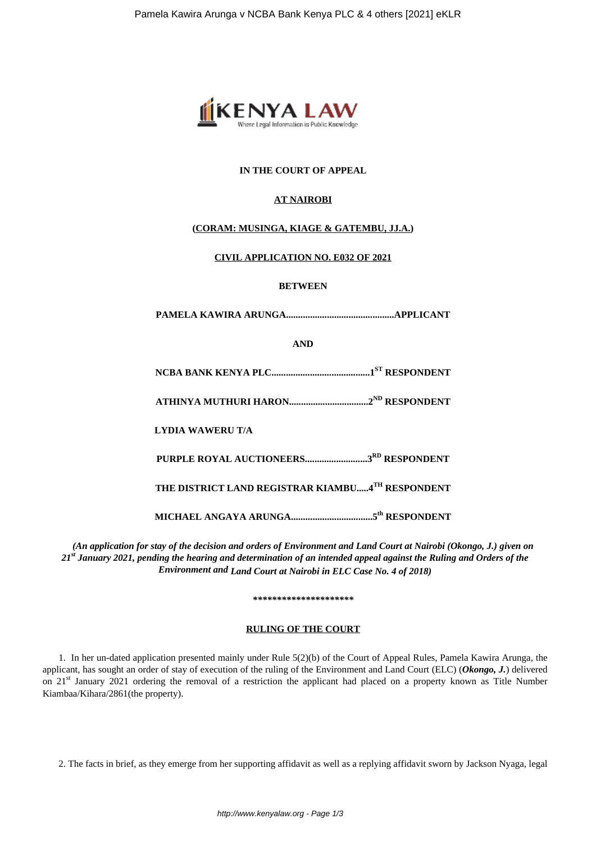

# **IN THE COURT OF APPEAL**

# **AT NAIROBI**

# **(CORAM: MUSINGA, KIAGE & GATEMBU, JJ.A.)**

## **CIVIL APPLICATION NO. E032 OF 2021**

### **BETWEEN**

**PAMELA KAWIRA ARUNGA.............................................APPLICANT**

**AND**

**NCBA BANK KENYA PLC.........................................1ST RESPONDENT**

**ATHINYA MUTHURI HARON.................................2ND RESPONDENT**

**LYDIA WAWERU T/A**

**PURPLE ROYAL AUCTIONEERS..........................3RD RESPONDENT**

**THE DISTRICT LAND REGISTRAR KIAMBU.....4TH RESPONDENT**

**MICHAEL ANGAYA ARUNGA..................................5th RESPONDENT**

*(An application for stay of the decision and orders of Environment and Land Court at Nairobi (Okongo, J.) given on 21st January 2021, pending the hearing and determination of an intended appeal against the Ruling and Orders of the Environment and Land Court at Nairobi in ELC Case No. 4 of 2018)*

*\*\*\*\*\*\*\*\*\*\*\*\*\*\*\*\*\*\*\*\*\**

### **RULING OF THE COURT**

1. In her un-dated application presented mainly under Rule 5(2)(b) of the Court of Appeal Rules, Pamela Kawira Arunga, the applicant, has sought an order of stay of execution of the ruling of the Environment and Land Court (ELC) (*Okongo, J.*) delivered on 21<sup>st</sup> January 2021 ordering the removal of a restriction the applicant had placed on a property known as Title Number Kiambaa/Kihara/2861(the property).

2. The facts in brief, as they emerge from her supporting affidavit as well as a replying affidavit sworn by Jackson Nyaga, legal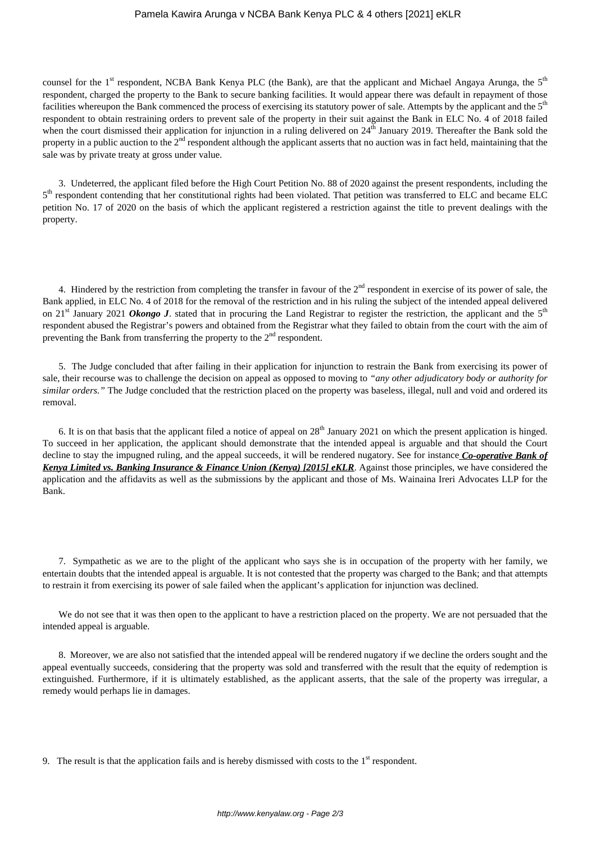#### Pamela Kawira Arunga v NCBA Bank Kenya PLC & 4 others [2021] eKLR

counsel for the 1<sup>st</sup> respondent, NCBA Bank Kenya PLC (the Bank), are that the applicant and Michael Angaya Arunga, the  $5<sup>th</sup>$ respondent, charged the property to the Bank to secure banking facilities. It would appear there was default in repayment of those facilities whereupon the Bank commenced the process of exercising its statutory power of sale. Attempts by the applicant and the 5<sup>th</sup> respondent to obtain restraining orders to prevent sale of the property in their suit against the Bank in ELC No. 4 of 2018 failed when the court dismissed their application for injunction in a ruling delivered on  $24<sup>th</sup>$  January 2019. Thereafter the Bank sold the property in a public auction to the  $2<sup>nd</sup>$  respondent although the applicant asserts that no auction was in fact held, maintaining that the sale was by private treaty at gross under value.

3. Undeterred, the applicant filed before the High Court Petition No. 88 of 2020 against the present respondents, including the 5<sup>th</sup> respondent contending that her constitutional rights had been violated. That petition was transferred to ELC and became ELC petition No. 17 of 2020 on the basis of which the applicant registered a restriction against the title to prevent dealings with the property.

4. Hindered by the restriction from completing the transfer in favour of the  $2<sup>nd</sup>$  respondent in exercise of its power of sale, the Bank applied, in ELC No. 4 of 2018 for the removal of the restriction and in his ruling the subject of the intended appeal delivered on 21<sup>st</sup> January 2021 *Okongo J*. stated that in procuring the Land Registrar to register the restriction, the applicant and the 5<sup>th</sup> respondent abused the Registrar's powers and obtained from the Registrar what they failed to obtain from the court with the aim of preventing the Bank from transferring the property to the  $2<sup>nd</sup>$  respondent.

5. The Judge concluded that after failing in their application for injunction to restrain the Bank from exercising its power of sale, their recourse was to challenge the decision on appeal as opposed to moving to *"any other adjudicatory body or authority for similar orders."* The Judge concluded that the restriction placed on the property was baseless, illegal, null and void and ordered its removal.

6. It is on that basis that the applicant filed a notice of appeal on  $28<sup>th</sup>$  January 2021 on which the present application is hinged. To succeed in her application, the applicant should demonstrate that the intended appeal is arguable and that should the Court decline to stay the impugned ruling, and the appeal succeeds, it will be rendered nugatory. See for instance *Co-operative Bank of Kenya Limited vs. Banking Insurance & Finance Union (Kenya) [2015] eKLR*. Against those principles, we have considered the application and the affidavits as well as the submissions by the applicant and those of Ms. Wainaina Ireri Advocates LLP for the Bank.

7. Sympathetic as we are to the plight of the applicant who says she is in occupation of the property with her family, we entertain doubts that the intended appeal is arguable. It is not contested that the property was charged to the Bank; and that attempts to restrain it from exercising its power of sale failed when the applicant's application for injunction was declined.

We do not see that it was then open to the applicant to have a restriction placed on the property. We are not persuaded that the intended appeal is arguable.

8. Moreover, we are also not satisfied that the intended appeal will be rendered nugatory if we decline the orders sought and the appeal eventually succeeds, considering that the property was sold and transferred with the result that the equity of redemption is extinguished. Furthermore, if it is ultimately established, as the applicant asserts, that the sale of the property was irregular, a remedy would perhaps lie in damages.

9. The result is that the application fails and is hereby dismissed with costs to the  $1<sup>st</sup>$  respondent.